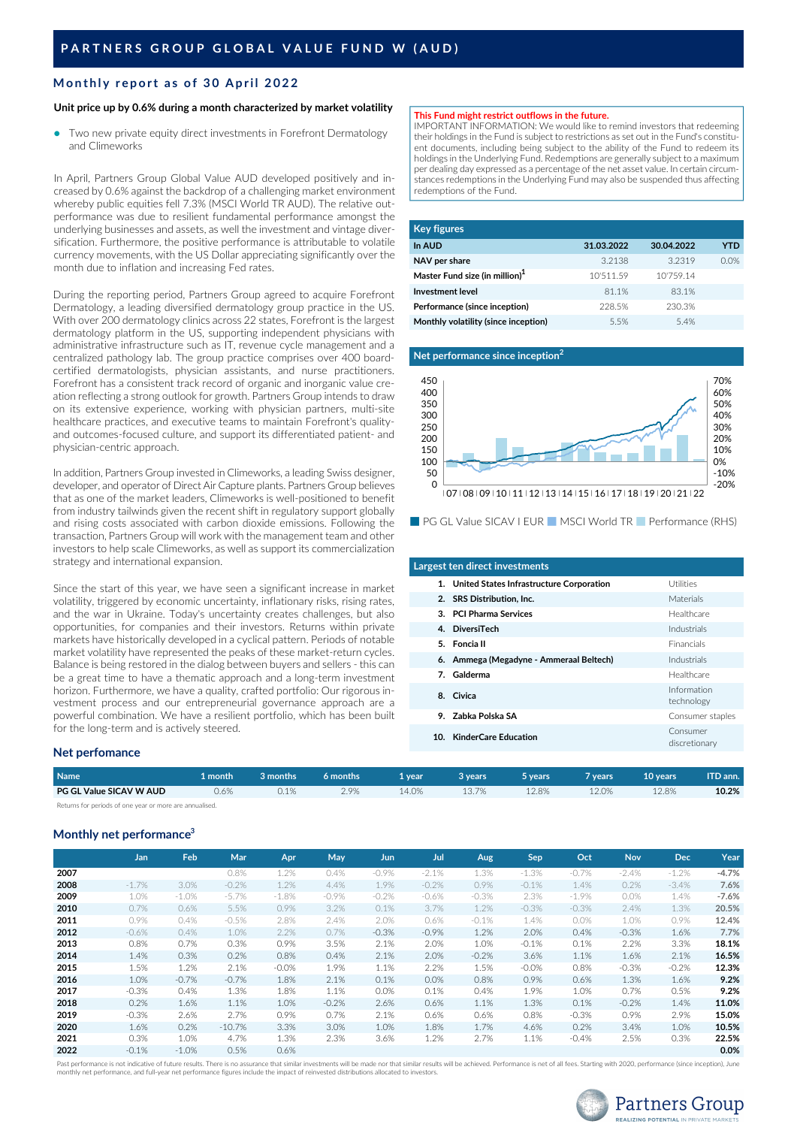# **Monthly report a s o f 3 0 April 2022**

## **Unit price up by 0.6% during a month characterized by market volatility**

Two new private equity direct investments in Forefront Dermatology and Climeworks ●

In April, Partners Group Global Value AUD developed positively and increased by 0.6% against the backdrop of a challenging market environment whereby public equities fell 7.3% (MSCI World TR AUD). The relative outperformance was due to resilient fundamental performance amongst the underlying businesses and assets, as well the investment and vintage diversification. Furthermore, the positive performance is attributable to volatile currency movements, with the US Dollar appreciating significantly over the month due to inflation and increasing Fed rates.

During the reporting period, Partners Group agreed to acquire Forefront Dermatology, a leading diversified dermatology group practice in the US. With over 200 dermatology clinics across 22 states, Forefront is the largest dermatology platform in the US, supporting independent physicians with administrative infrastructure such as IT, revenue cycle management and a centralized pathology lab. The group practice comprises over 400 boardcertified dermatologists, physician assistants, and nurse practitioners. Forefront has a consistent track record of organic and inorganic value creation reflecting a strong outlook for growth. Partners Group intends to draw on its extensive experience, working with physician partners, multi-site healthcare practices, and executive teams to maintain Forefront's qualityand outcomes-focused culture, and support its differentiated patient- and physician-centric approach.

In addition, Partners Group invested in Climeworks, a leading Swiss designer, developer, and operator of Direct Air Capture plants. Partners Group believes that as one of the market leaders, Climeworks is well-positioned to benefit from industry tailwinds given the recent shift in regulatory support globally and rising costs associated with carbon dioxide emissions. Following the transaction, Partners Group will work with the management team and other investors to help scale Climeworks, as well as support its commercialization strategy and international expansion.

Since the start of this year, we have seen a significant increase in market volatility, triggered by economic uncertainty, inflationary risks, rising rates, and the war in Ukraine. Today's uncertainty creates challenges, but also opportunities, for companies and their investors. Returns within private markets have historically developed in a cyclical pattern. Periods of notable market volatility have represented the peaks of these market-return cycles. Balance is being restored in the dialog between buyers and sellers - this can be a great time to have a thematic approach and a long-term investment horizon. Furthermore, we have a quality, crafted portfolio: Our rigorous investment process and our entrepreneurial governance approach are a powerful combination. We have a resilient portfolio, which has been built for the long-term and is actively steered.

### **Net perfomance**

| <b>Name</b>             | l month | 3 months | 6 months | 1 vear. | 3 vears | 5 years | vears / | 10 years | ITD ann. |
|-------------------------|---------|----------|----------|---------|---------|---------|---------|----------|----------|
| PG GL Value SICAV W AUD | $0.6\%$ | 0.1%     | 2.9%     | .4.0%   | 13.7%   | 12.8%   | 12.0%   | 12.8%    | 10.2%    |

Returns for periods of one year or more are annualised.

# **Monthly net performance 3**

|      | <b>Jan</b> | Feb     | Mar      | Apr     | May     | Jun     | Jul     | Aug     | Sep     | Oct      | <b>Nov</b> | <b>Dec</b> | Year    |
|------|------------|---------|----------|---------|---------|---------|---------|---------|---------|----------|------------|------------|---------|
| 2007 |            |         | 0.8%     | 1.2%    | 0.4%    | $-0.9%$ | $-2.1%$ | 1.3%    | $-1.3%$ | $-0.7\%$ | $-2.4%$    | $-1.2%$    | $-4.7%$ |
| 2008 | $-1.7\%$   | 3.0%    | $-0.2%$  | 1.2%    | 4.4%    | 1.9%    | $-0.2%$ | 0.9%    | $-0.1%$ | 1.4%     | 0.2%       | $-3.4%$    | 7.6%    |
| 2009 | 1.0%       | $-1.0%$ | $-5.7%$  | $-1.8%$ | $-0.9%$ | $-0.2%$ | $-0.6%$ | $-0.3%$ | 2.3%    | $-1.9%$  | 0.0%       | 1.4%       | $-7.6%$ |
| 2010 | 0.7%       | 0.6%    | 5.5%     | 0.9%    | 3.2%    | 0.1%    | 3.7%    | 1.2%    | $-0.3%$ | $-0.3%$  | 2.4%       | 1.3%       | 20.5%   |
| 2011 | 0.9%       | 0.4%    | $-0.5%$  | 2.8%    | 2.4%    | 2.0%    | 0.6%    | $-0.1%$ | 1.4%    | 0.0%     | 1.0%       | 0.9%       | 12.4%   |
| 2012 | $-0.6%$    | 0.4%    | 1.0%     | 2.2%    | 0.7%    | $-0.3%$ | $-0.9%$ | 1.2%    | 2.0%    | 0.4%     | $-0.3%$    | 1.6%       | 7.7%    |
| 2013 | 0.8%       | 0.7%    | 0.3%     | 0.9%    | 3.5%    | 2.1%    | 2.0%    | 1.0%    | $-0.1%$ | 0.1%     | 2.2%       | 3.3%       | 18.1%   |
| 2014 | 1.4%       | 0.3%    | 0.2%     | 0.8%    | 0.4%    | 2.1%    | 2.0%    | $-0.2%$ | 3.6%    | 1.1%     | 1.6%       | 2.1%       | 16.5%   |
| 2015 | 1.5%       | 1.2%    | 2.1%     | $-0.0%$ | 1.9%    | 1.1%    | 2.2%    | 1.5%    | $-0.0%$ | 0.8%     | $-0.3%$    | $-0.2%$    | 12.3%   |
| 2016 | 1.0%       | $-0.7%$ | $-0.7%$  | 1.8%    | 2.1%    | 0.1%    | 0.0%    | 0.8%    | 0.9%    | 0.6%     | 1.3%       | 1.6%       | 9.2%    |
| 2017 | $-0.3%$    | 0.4%    | 1.3%     | 1.8%    | 1.1%    | 0.0%    | 0.1%    | 0.4%    | 1.9%    | 1.0%     | 0.7%       | 0.5%       | 9.2%    |
| 2018 | 0.2%       | 1.6%    | 1.1%     | 1.0%    | $-0.2%$ | 2.6%    | 0.6%    | 1.1%    | 1.3%    | 0.1%     | $-0.2%$    | 1.4%       | 11.0%   |
| 2019 | $-0.3%$    | 2.6%    | 2.7%     | 0.9%    | 0.7%    | 2.1%    | 0.6%    | 0.6%    | 0.8%    | $-0.3%$  | 0.9%       | 2.9%       | 15.0%   |
| 2020 | 1.6%       | 0.2%    | $-10.7%$ | 3.3%    | 3.0%    | 1.0%    | 1.8%    | 1.7%    | 4.6%    | 0.2%     | 3.4%       | 1.0%       | 10.5%   |
| 2021 | 0.3%       | 1.0%    | 4.7%     | 1.3%    | 2.3%    | 3.6%    | 1.2%    | 2.7%    | 1.1%    | $-0.4%$  | 2.5%       | 0.3%       | 22.5%   |
| 2022 | $-0.1%$    | $-1.0%$ | 0.5%     | 0.6%    |         |         |         |         |         |          |            |            | 0.0%    |

Past performance is not indicative of future results. There is no assurance that similar investments will be made nor that similar results will be achieved. Performance is net of all fees. Starting with 2020, performance ( monthly net performance, and full-year net performance figures include the impact of reinvested distributions allocated to investors.

### **This Fund might restrict outflows in the future.**

IMPORTANT INFORMATION: We would like to remind investors that redeeming their holdings in the Fund is subject to restrictions as set out in the Fund's constituent documents, including being subject to the ability of the Fund to redeem its holdings in the Underlying Fund. Redemptions are generally subject to a maximum per dealing day expressed as a percentage of the net asset value. In certain circumstances redemptions in the Underlying Fund may also be suspended thus affecting redemptions of the Fund.

| <b>Key figures</b>                   |            |            |      |
|--------------------------------------|------------|------------|------|
| In AUD                               | 31.03.2022 | 30.04.2022 | YTD  |
| NAV per share                        | 3.2138     | 3.2319     | 0.0% |
| Master Fund size (in million) $1$    | 10'511.59  | 10'759.14  |      |
| <b>Investment level</b>              | 81.1%      | 83.1%      |      |
| Performance (since inception)        | 228.5%     | 230.3%     |      |
| Monthly volatility (since inception) | 5.5%       | 5.4%       |      |



■ PG GL Value SICAV I EUR ■ MSCI World TR ■ Performance (RHS)

| Largest ten direct investments              |                           |
|---------------------------------------------|---------------------------|
| 1. United States Infrastructure Corporation | Utilities                 |
| 2. SRS Distribution, Inc.                   | Materials                 |
| 3. PCI Pharma Services                      | Healthcare                |
| 4. DiversiTech                              | Industrials               |
| 5. Foncia II                                | Financials                |
| 6. Ammega (Megadyne - Ammeraal Beltech)     | Industrials               |
| 7. Galderma                                 | Healthcare                |
| 8. Civica                                   | Information<br>technology |
| 9. Zabka Polska SA                          | Consumer staples          |
| 10. KinderCare Education                    | Consumer<br>discretionary |
|                                             |                           |